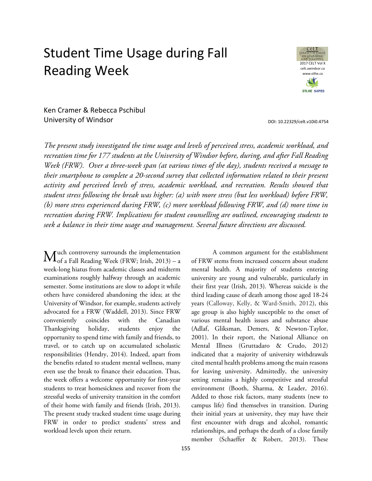# Student Time Usage during Fall Reading Week



Ken Cramer & Rebecca Pschibul University of Windsor

*The present study investigated the time usage and levels of perceived stress, academic workload, and recreation time for 177 students at the University of Windsor before, during, and after Fall Reading Week (FRW). Over a three-week span (at various times of the day), students received a message to their smartphone to complete a 20-second survey that collected information related to their present activity and perceived levels of stress, academic workload, and recreation. Results showed that student stress following the break was higher: (a) with more stress (but less workload) before FRW, (b) more stress experienced during FRW, (c) more workload following FRW, and (d) more time in recreation during FRW. Implications for student counselling are outlined, encouraging students to seek a balance in their time usage and management. Several future directions are discussed.*

uch controversy surrounds the implementation  $\mathbf{M}^{\text{uch}}_{\text{of a Fall Reading Week (FRW; Irish, 2013) - a}}$ week-long hiatus from academic classes and midterm examinations roughly halfway through an academic semester. Some institutions are slow to adopt it while others have considered abandoning the idea; at the University of Windsor, for example, students actively advocated for a FRW (Waddell, 2013). Since FRW conveniently coincides with the Canadian Thanksgiving holiday, students enjoy the opportunity to spend time with family and friends, to travel, or to catch up on accumulated scholastic responsibilities (Hendry, 2014). Indeed, apart from the benefits related to student mental wellness, many even use the break to finance their education. Thus, the week offers a welcome opportunity for first-year students to treat homesickness and recover from the stressful weeks of university transition in the comfort of their home with family and friends (Irish, 2013). The present study tracked student time usage during FRW in order to predict students' stress and workload levels upon their return.

A common argument for the establishment of FRW stems from increased concern about student mental health. A majority of students entering university are young and vulnerable, particularly in their first year (Irish, 2013). Whereas suicide is the third leading cause of death among those aged 18-24 years (Calloway, Kelly, & Ward-Smith, 2012), this age group is also highly susceptible to the onset of various mental health issues and substance abuse (Adlaf, Gliksman, Demers, & Newton-Taylor, 2001). In their report, the National Alliance on Mental Illness (Gruttadaro & Crudo, 2012) indicated that a majority of university withdrawals cited mental health problems among the main reasons for leaving university. Admittedly, the university setting remains a highly competitive and stressful environment (Booth, Sharma, & Leader, 2016). Added to those risk factors, many students (new to campus life) find themselves in transition. During their initial years at university, they may have their first encounter with drugs and alcohol, romantic relationships, and perhaps the death of a close family member (Schaeffer & Robert, 2013). These

DOI[: 10.22329/celt.v10i0.4754](http://dx.doi.org/10.22329/celt.v10i0.4754)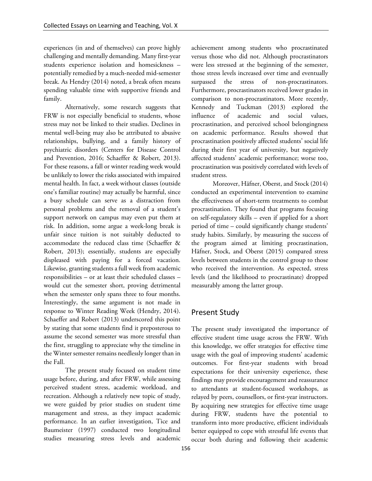experiences (in and of themselves) can prove highly challenging and mentally demanding. Many first-year students experience isolation and homesickness – potentially remedied by a much-needed mid-semester break. As Hendry (2014) noted, a break often means spending valuable time with supportive friends and family.

Alternatively, some research suggests that FRW is not especially beneficial to students, whose stress may not be linked to their studies. Declines in mental well-being may also be attributed to abusive relationships, bullying, and a family history of psychiatric disorders (Centers for Disease Control and Prevention, 2016; Schaeffer & Robert, 2013). For these reasons, a fall or winter reading week would be unlikely to lower the risks associated with impaired mental health. In fact, a week without classes (outside one's familiar routine) may actually be harmful, since a busy schedule can serve as a distraction from personal problems and the removal of a student's support network on campus may even put them at risk. In addition, some argue a week-long break is unfair since tuition is not suitably deducted to accommodate the reduced class time (Schaeffer & Robert, 2013); essentially, students are especially displeased with paying for a forced vacation. Likewise, granting students a full week from academic responsibilities – or at least their scheduled classes – would cut the semester short, proving detrimental when the semester only spans three to four months. Interestingly, the same argument is not made in response to Winter Reading Week (Hendry, 2014). Schaeffer and Robert (2013) underscored this point by stating that some students find it preposterous to assume the second semester was more stressful than the first, struggling to appreciate why the timeline in the Winter semester remains needlessly longer than in the Fall.

The present study focused on student time usage before, during, and after FRW, while assessing perceived student stress, academic workload, and recreation. Although a relatively new topic of study, we were guided by prior studies on student time management and stress, as they impact academic performance. In an earlier investigation, Tice and Baumeister (1997) conducted two longitudinal studies measuring stress levels and academic

achievement among students who procrastinated versus those who did not. Although procrastinators were less stressed at the beginning of the semester, those stress levels increased over time and eventually surpassed the stress of non-procrastinators. Furthermore, procrastinators received lower grades in comparison to non-procrastinators. More recently, Kennedy and Tuckman (2013) explored the influence of academic and social values, procrastination, and perceived school belongingness on academic performance. Results showed that procrastination positively affected students' social life during their first year of university, but negatively affected students' academic performance; worse too, procrastination was positively correlated with levels of student stress.

Moreover, Häfner, Oberst, and Stock (2014) conducted an experimental intervention to examine the effectiveness of short-term treatments to combat procrastination. They found that programs focusing on self-regulatory skills – even if applied for a short period of time – could significantly change students' study habits. Similarly, by measuring the success of the program aimed at limiting procrastination, Häfner, Stock, and Oberst (2015) compared stress levels between students in the control group to those who received the intervention. As expected, stress levels (and the likelihood to procrastinate) dropped measurably among the latter group.

## Present Study

The present study investigated the importance of effective student time usage across the FRW. With this knowledge, we offer strategies for effective time usage with the goal of improving students' academic outcomes. For first-year students with broad expectations for their university experience, these findings may provide encouragement and reassurance to attendants at student-focussed workshops, as relayed by peers, counsellors, or first-year instructors. By acquiring new strategies for effective time usage during FRW, students have the potential to transform into more productive, efficient individuals better equipped to cope with stressful life events that occur both during and following their academic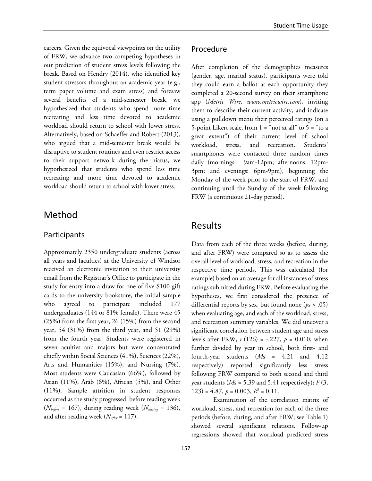careers. Given the equivocal viewpoints on the utility of FRW, we advance two competing hypotheses in our prediction of student stress levels following the break. Based on Hendry (2014), who identified key student stressors throughout an academic year (e.g., term paper volume and exam stress) and foresaw several benefits of a mid-semester break, we hypothesized that students who spend more time recreating and less time devoted to academic workload should return to school with lower stress. Alternatively, based on Schaeffer and Robert (2013), who argued that a mid-semester break would be disruptive to student routines and even restrict access to their support network during the hiatus, we hypothesized that students who spend less time recreating and more time devoted to academic workload should return to school with lower stress.

# Method

### Participants

Approximately 2350 undergraduate students (across all years and faculties) at the University of Windsor received an electronic invitation to their university email from the Registrar's Office to participate in the study for entry into a draw for one of five \$100 gift cards to the university bookstore; the initial sample who agreed to participate included 177 undergraduates (144 or 81% female). There were 45 (25%) from the first year, 26 (15%) from the second year, 54 (31%) from the third year, and 51 (29%) from the fourth year. Students were registered in seven aculties and majors but were concentrated chiefly within Social Sciences (41%), Sciences (22%), Arts and Humanities (15%), and Nursing (7%). Most students were Caucasian (66%), followed by Asian (11%), Arab (6%), African (5%), and Other (11%). Sample attrition in student responses occurred as the study progressed: before reading week  $(N_{before} = 167)$ , during reading week  $(N_{during} = 136)$ , and after reading week (*Nafter* = 117).

## Procedure

After completion of the demographics measures (gender, age, marital status), participants were told they could earn a ballot at each opportunity they completed a 20-second survey on their smartphone app (*Metric Wire, www.metricwire.com*), inviting them to describe their current activity, and indicate using a pulldown menu their perceived ratings (on a 5-point Likert scale, from  $1 =$  "not at all" to  $5 =$  "to a great extent") of their current level of school workload, stress, and recreation. Students' smartphones were contacted three random times daily (mornings: 9am-12pm; afternoons: 12pm-3pm; and evenings: 6pm-9pm), beginning the Monday of the week prior to the start of FRW, and continuing until the Sunday of the week following FRW (a continuous 21-day period).

# Results

Data from each of the three weeks (before, during, and after FRW) were compared so as to assess the overall level of workload, stress, and recreation in the respective time periods. This was calculated (for example) based on an average for all instances of stress ratings submitted during FRW. Before evaluating the hypotheses, we first considered the presence of differential reports by sex, but found none (*p*s > .05) when evaluating age, and each of the workload, stress, and recreation summary variables. We did uncover a significant correlation between student age and stress levels after FRW,  $r(126) = -.227$ ,  $p = 0.010$ ; when further divided by year in school, both first- and fourth-year students (*M*s = 4.21 and 4.12 respectively) reported significantly less stress following FRW compared to both second and third year students ( $Ms = 5.39$  and 5.41 respectively);  $F(3, 1)$  $123$ ) = 4.87,  $p = 0.003$ ,  $R^2 = 0.11$ .

Examination of the correlation matrix of workload, stress, and recreation for each of the three periods (before, during, and after FRW; see Table 1) showed several significant relations. Follow-up regressions showed that workload predicted stress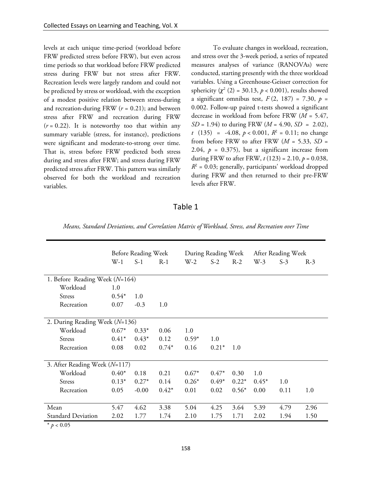levels at each unique time-period (workload before FRW predicted stress before FRW), but even across time periods so that workload before FRW predicted stress during FRW but not stress after FRW. Recreation levels were largely random and could not be predicted by stress or workload, with the exception of a modest positive relation between stress-during and recreation-during FRW (*r* = 0.21); and between stress after FRW and recreation during FRW  $(r = 0.22)$ . It is noteworthy too that within any summary variable (stress, for instance), predictions were significant and moderate-to-strong over time. That is, stress before FRW predicted both stress during and stress after FRW; and stress during FRW predicted stress after FRW. This pattern was similarly observed for both the workload and recreation variables.

To evaluate changes in workload, recreation, and stress over the 3-week period, a series of repeated measures analyses of variance (RANOVAs) were conducted, starting presently with the three workload variables. Using a Greenhouse-Geisser correction for sphericity  $(\chi^2 (2) = 30.13, p < 0.001)$ , results showed a significant omnibus test,  $F(2, 187) = 7.30$ ,  $p =$ 0.002. Follow-up paired t-tests showed a significant decrease in workload from before FRW (*M* = 5.47, *SD* = 1.94) to during FRW ( $M = 4.90$ , *SD* = 2.02), *t* (135) = -4.08,  $p < 0.001$ ,  $R^2 = 0.11$ ; no change from before FRW to after FRW  $(M = 5.33, SD =$ 2.04,  $p = 0.375$ ), but a significant increase from during FRW to after FRW,  $t(123) = 2.10$ ,  $p = 0.038$ ,  $R^2$  = 0.03; generally, participants' workload dropped during FRW and then returned to their pre-FRW levels after FRW.

#### Table 1

|                                  | Before Reading Week |         | During Reading Week |         | After Reading Week |         |         |       |       |
|----------------------------------|---------------------|---------|---------------------|---------|--------------------|---------|---------|-------|-------|
|                                  | $W-1$               | $S-1$   | $R-1$               | $W-2$   | $S-2$              | $R-2$   | $W-3$   | $S-3$ | $R-3$ |
|                                  |                     |         |                     |         |                    |         |         |       |       |
| 1. Before Reading Week $(N=164)$ |                     |         |                     |         |                    |         |         |       |       |
| Workload                         | 1.0                 |         |                     |         |                    |         |         |       |       |
| <b>Stress</b>                    | $0.54*$             | 1.0     |                     |         |                    |         |         |       |       |
| Recreation                       | 0.07                | $-0.3$  | 1.0                 |         |                    |         |         |       |       |
|                                  |                     |         |                     |         |                    |         |         |       |       |
| 2. During Reading Week (N=136)   |                     |         |                     |         |                    |         |         |       |       |
| Workload                         | $0.67*$             | $0.33*$ | 0.06                | 1.0     |                    |         |         |       |       |
| <b>Stress</b>                    | $0.41*$             | $0.43*$ | 0.12                | $0.59*$ | 1.0                |         |         |       |       |
| Recreation                       | 0.08                | 0.02    | $0.74*$             | 0.16    | $0.21*$            | 1.0     |         |       |       |
|                                  |                     |         |                     |         |                    |         |         |       |       |
| 3. After Reading Week (N=117)    |                     |         |                     |         |                    |         |         |       |       |
| Workload                         | $0.40*$             | 0.18    | 0.21                | $0.67*$ | $0.47*$            | 0.30    | 1.0     |       |       |
| <b>Stress</b>                    | $0.13*$             | $0.27*$ | 0.14                | $0.26*$ | $0.49*$            | $0.22*$ | $0.45*$ | 1.0   |       |
| Recreation                       | 0.05                | $-0.00$ | $0.42*$             | 0.01    | 0.02               | $0.56*$ | 0.00    | 0.11  | 1.0   |
|                                  |                     |         |                     |         |                    |         |         |       |       |
| Mean                             | 5.47                | 4.62    | 3.38                | 5.04    | 4.25               | 3.64    | 5.39    | 4.79  | 2.96  |
| <b>Standard Deviation</b>        | 2.02                | 1.77    | 1.74                | 2.10    | 1.75               | 1.71    | 2.02    | 1.94  | 1.50  |

 $*$   $p < 0.05$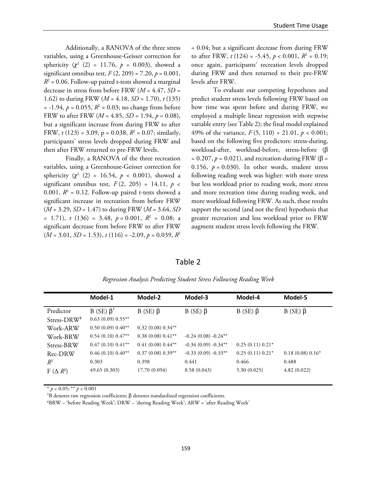Additionally, a RANOVA of the three stress variables, using a Greenhouse-Geisser correction for sphericity  $(\chi^2 \ (2) = 11.76, \ p = 0.003)$ , showed a significant omnibus test,  $F(2, 209) = 7.20$ ,  $p = 0.001$ ,  $R^2$  = 0.06. Follow-up paired t-tests showed a marginal decrease in stress from before FRW (*M* = 4.47, *SD* = 1.62) to during FRW (*M* = 4.18, *SD* = 1.70), *t* (135)  $= -1.94$ ,  $p = 0.055$ ,  $R^2 = 0.03$ ; no change from before FRW to after FRW (*M* = 4.85, *SD* = 1.94, *p* = 0.08), but a significant increase from during FRW to after FRW,  $t(123) = 3.09$ ,  $p = 0.038$ ,  $R^2 = 0.07$ ; similarly, participants' stress levels dropped during FRW and then after FRW returned to pre-FRW levels.

Finally, a RANOVA of the three recreation variables, using a Greenhouse-Geisser correction for sphericity  $(\chi^2 \ (2) = 16.54, \ p \ < 0.001)$ , showed a significant omnibus test,  $F(2, 205) = 14.11$ ,  $p \le$ 0.001,  $R^2$  = 0.12. Follow-up paired t-tests showed a significant increase in recreation from before FRW (*M* = 3.29, *SD* = 1.47) to during FRW (*M* = 3.64, *SD*  $= 1.71$ , *t* (136) = 3.48, *p* = 0.001,  $R^2 = 0.08$ ; a significant decrease from before FRW to after FRW  $(M = 3.01, SD = 1.53), t(116) = -2.09, p = 0.039, R^2$ 

= 0.04; but a significant decrease from during FRW to after FRW,  $t(124) = -5.45$ ,  $p < 0.001$ ,  $R^2 = 0.19$ ; once again, participants' recreation levels dropped during FRW and then returned to their pre-FRW levels after FRW.

To evaluate our competing hypotheses and predict student stress levels following FRW based on how time was spent before and during FRW, we employed a multiple linear regression with stepwise variable entry (see Table 2); the final model explained 49% of the variance,  $F(5, 110) = 21.01$ ,  $p < 0.001$ ; based on the following five predictors: stress-during, workload-after, workload-before, stress-before (β  $= 0.207$ ,  $p = 0.021$ ), and recreation-during FRW ( $\beta =$ 0.156,  $p = 0.030$ ). In other words, student stress following reading week was higher: with more stress but less workload prior to reading week, more stress and more recreation time during reading week, and more workload following FRW. As such, these results support the second (and not the first) hypothesis that greater recreation and less workload prior to FRW augment student stress levels following the FRW.

| anie |  |  |
|------|--|--|
|------|--|--|

|                         | Model-1              | Model-2             | Model-3               | Model-4            | Model-5           |
|-------------------------|----------------------|---------------------|-----------------------|--------------------|-------------------|
| Predictor               | $B$ (SE) $\beta^+$   | $B$ (SE) $\beta$    | $B$ (SE) $\beta$      | $B$ (SE) $\beta$   | $B$ (SE) $\beta$  |
| Stress-DRW <sup>+</sup> | $0.63(0.09) 0.55***$ |                     |                       |                    |                   |
| Work-ARW                | $0.50(0.09) 0.40**$  | $0.32(0.08) 0.34**$ |                       |                    |                   |
| Work-BRW                | $0.54(0.10) 0.47**$  | $0.38(0.08)0.41**$  | $-0.24(0.08) -0.24**$ |                    |                   |
| Stress-BRW              | $0.47(0.10) 0.41**$  | $0.41(0.08)0.44**$  | $-0.34(0.09) -0.34**$ | $0.25(0.11) 0.21*$ |                   |
| Rec-DRW                 | $0.46(0.10) 0.40**$  | $0.37(0.08)0.39**$  | $-0.33(0.09) -0.33**$ | $0.25(0.11) 0.21*$ | $0.18(0.08)0.16*$ |
| $R^2$                   | 0.303                | 0.398               | 0.441                 | 0.466              | 0.488             |
| $F(\Delta R^2)$         | 49.65(0.303)         | 17.70 (0.094)       | 8.58(0.043)           | 5.30(0.025)        | 4.82(0.022)       |

*Regression Analysis Predicting Student Stress Following Reading Week*

 $*$   $p < 0.05$ ;  $**$   $p < 0.001$ 

 $B$  denotes raw regression coefficients;  $\beta$  denotes standardized regression coefficients.

‡BRW – 'before Reading Week'; DRW – 'during Reading Week'; ARW = 'after Reading Week'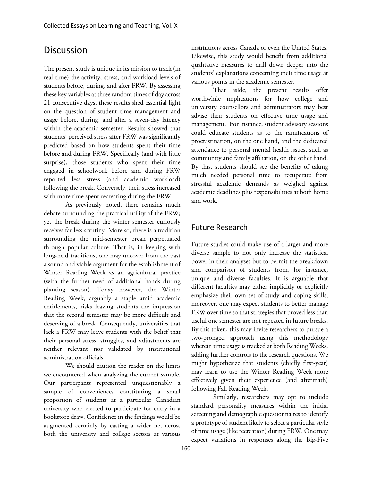# **Discussion**

The present study is unique in its mission to track (in real time) the activity, stress, and workload levels of students before, during, and after FRW. By assessing these key variables at three random times of day across 21 consecutive days, these results shed essential light on the question of student time management and usage before, during, and after a seven-day latency within the academic semester. Results showed that students' perceived stress after FRW was significantly predicted based on how students spent their time before and during FRW. Specifically (and with little surprise), those students who spent their time engaged in schoolwork before and during FRW reported less stress (and academic workload) following the break. Conversely, their stress increased with more time spent recreating during the FRW.

As previously noted, there remains much debate surrounding the practical utility of the FRW; yet the break during the winter semester curiously receives far less scrutiny. More so, there is a tradition surrounding the mid-semester break perpetuated through popular culture. That is, in keeping with long-held traditions, one may uncover from the past a sound and viable argument for the establishment of Winter Reading Week as an agricultural practice (with the further need of additional hands during planting season). Today however, the Winter Reading Week, arguably a staple amid academic entitlements, risks leaving students the impression that the second semester may be more difficult and deserving of a break. Consequently, universities that lack a FRW may leave students with the belief that their personal stress, struggles, and adjustments are neither relevant nor validated by institutional administration officials.

We should caution the reader on the limits we encountered when analyzing the current sample. Our participants represented unquestionably a sample of convenience, constituting a small proportion of students at a particular Canadian university who elected to participate for entry in a bookstore draw. Confidence in the findings would be augmented certainly by casting a wider net across both the university and college sectors at various

institutions across Canada or even the United States. Likewise, this study would benefit from additional qualitative measures to drill down deeper into the students' explanations concerning their time usage at various points in the academic semester.

That aside, the present results offer worthwhile implications for how college and university counsellors and administrators may best advise their students on effective time usage and management. For instance, student advisory sessions could educate students as to the ramifications of procrastination, on the one hand, and the dedicated attendance to personal mental health issues, such as community and family affiliation, on the other hand. By this, students should see the benefits of taking much needed personal time to recuperate from stressful academic demands as weighed against academic deadlines plus responsibilities at both home and work.

## Future Research

Future studies could make use of a larger and more diverse sample to not only increase the statistical power in their analyses but to permit the breakdown and comparison of students from, for instance, unique and diverse faculties. It is arguable that different faculties may either implicitly or explicitly emphasize their own set of study and coping skills; moreover, one may expect students to better manage FRW over time so that strategies that proved less than useful one semester are not repeated in future breaks. By this token, this may invite researchers to pursue a two-pronged approach using this methodology wherein time usage is tracked at both Reading Weeks, adding further controls to the research questions. We might hypothesize that students (chiefly first-year) may learn to use the Winter Reading Week more effectively given their experience (and aftermath) following Fall Reading Week.

Similarly, researchers may opt to include standard personality measures within the initial screening and demographic questionnaires to identify a prototype of student likely to select a particular style of time usage (like recreation) during FRW. One may expect variations in responses along the Big-Five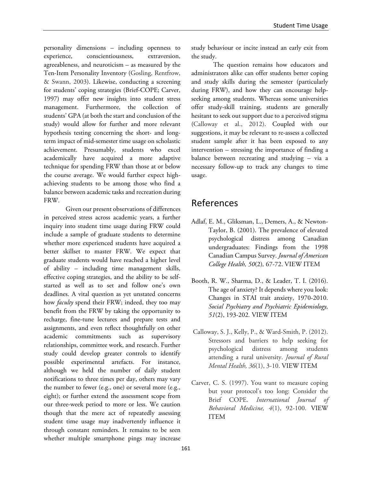personality dimensions – including openness to experience, conscientiousness, extraversion, agreeableness, and neuroticism – as measured by the Ten-Item Personality Inventory (Gosling, Rentfrow, & Swann, 2003). Likewise, conducting a screening for students' coping strategies (Brief-COPE; Carver, 1997) may offer new insights into student stress management. Furthermore, the collection of students' GPA (at both the start and conclusion of the study) would allow for further and more relevant hypothesis testing concerning the short- and longterm impact of mid-semester time usage on scholastic achievement. Presumably, students who excel academically have acquired a more adaptive technique for spending FRW than those at or below the course average. We would further expect highachieving students to be among those who find a balance between academic tasks and recreation during FRW.

Given our present observations of differences in perceived stress across academic years, a further inquiry into student time usage during FRW could include a sample of graduate students to determine whether more experienced students have acquired a better skillset to master FRW. We expect that graduate students would have reached a higher level of ability – including time management skills, effective coping strategies, and the ability to be selfstarted as well as to set and follow one's own deadlines. A vital question as yet unstated concerns how *faculty* spend their FRW; indeed, they too may benefit from the FRW by taking the opportunity to recharge, fine-tune lectures and prepare tests and assignments, and even reflect thoughtfully on other academic commitments such as supervisory relationships, committee work, and research. Further study could develop greater controls to identify possible experimental artefacts. For instance, although we held the number of daily student notifications to three times per day, others may vary the number to fewer (e.g., one) or several more (e.g., eight); or further extend the assessment scope from our three-week period to more or less. We caution though that the mere act of repeatedly assessing student time usage may inadvertently influence it through constant reminders. It remains to be seen whether multiple smartphone pings may increase

study behaviour or incite instead an early exit from the study.

The question remains how educators and administrators alike can offer students better coping and study skills during the semester (particularly during FRW), and how they can encourage helpseeking among students. Whereas some universities offer study-skill training, students are generally hesitant to seek out support due to a perceived stigma (Calloway et al., 2012). Coupled with our suggestions, it may be relevant to re-assess a collected student sample after it has been exposed to any intervention – stressing the importance of finding a balance between recreating and studying – via a necessary follow-up to track any changes to time usage.

# References

- Adlaf, E. M., Gliksman, L., Demers, A., & Newton-Taylor, B. (2001). The prevalence of elevated psychological distress among Canadian undergraduates: Findings from the 1998 Canadian Campus Survey. *Journal of American College Health, 50*(2)*,* 67-72. [VIEW ITEM](http://dx.doi.org/10.1080/07448480109596009)
- Booth, R. W., Sharma, D., & Leader, T. I. (2016). The age of anxiety? It depends where you look: Changes in STAI trait anxiety, 1970-2010. *Social Psychiatry and Psychiatric Epidemiology, 51*(2), 193-202*.* [VIEW ITEM](http://dx.doi.org/10.1007/s00127-015-1096-0)
- Calloway, S. J., Kelly, P., & Ward-Smith, P. (2012). Stressors and barriers to help seeking for psychological distress among students attending a rural university. *Journal of Rural Mental Health, 36*(1), 3-10. [VIEW ITEM](http://dx.doi.org/10.1037/h0094774)
- Carver, C. S. (1997). You want to measure coping but your protocol's too long: Consider the Brief COPE. *International Journal of Behavioral Medicine, 4*(1), 92-100. [VIEW](http://dx.doi.org/10.1207/s15327558ijbm0401_6)  [ITEM](http://dx.doi.org/10.1207/s15327558ijbm0401_6)